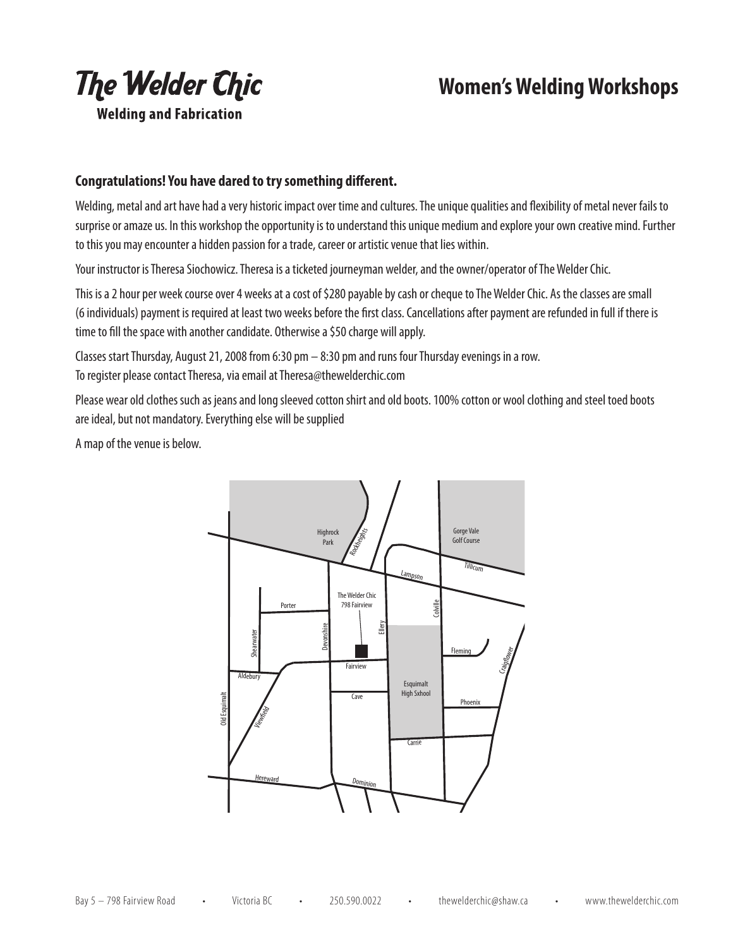

## **Women's Welding Workshops**

## **Congratulations! You have dared to try something different.**

Welding, metal and art have had a very historic impact over time and cultures. The unique qualities and flexibility of metal never fails to surprise or amaze us. In this workshop the opportunity is to understand this unique medium and explore your own creative mind. Further to this you may encounter a hidden passion for a trade, career or artistic venue that lies within.

Your instructor is Theresa Siochowicz. Theresa is a ticketed journeyman welder, and the owner/operator of The Welder Chic.

This is a 2 hour per week course over 4 weeks at a cost of \$280 payable by cash or cheque to The Welder Chic. As the classes are small (6 individuals) payment is required at least two weeks before the first class. Cancellations after payment are refunded in full if there is time to fill the space with another candidate. Otherwise a \$50 charge will apply.

Classes start Thursday, August 21, 2008 from 6:30 pm – 8:30 pm and runs four Thursday evenings in a row. To register please contact Theresa, via email at Theresa@thewelderchic.com

Please wear old clothes such as jeans and long sleeved cotton shirt and old boots. 100% cotton or wool clothing and steel toed boots are ideal, but not mandatory. Everything else will be supplied

A map of the venue is below.

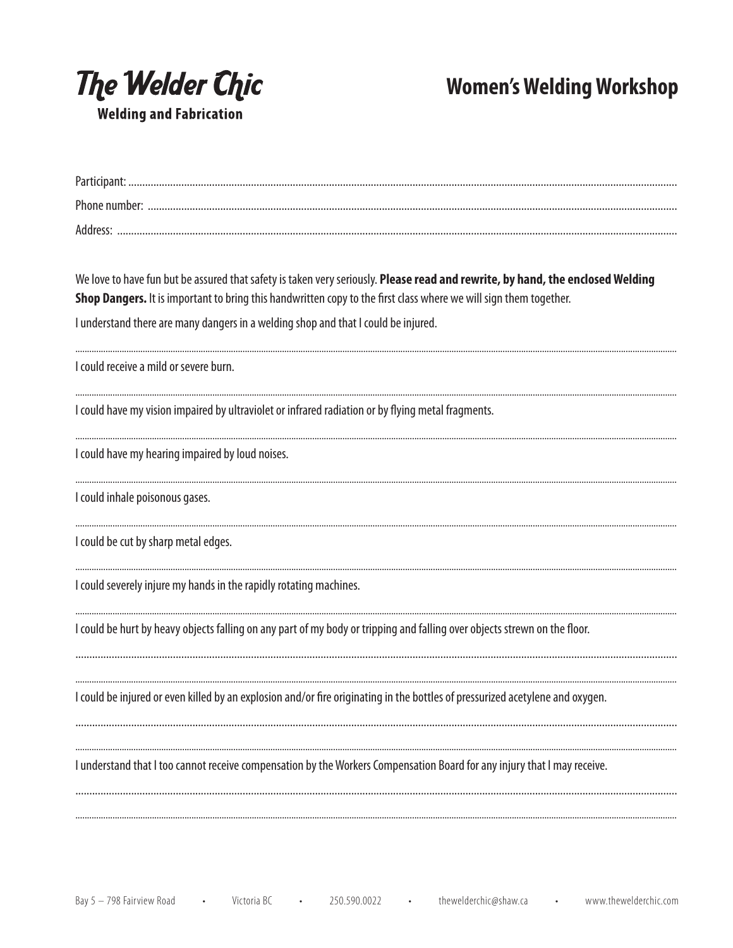

**Women's Welding Workshop** 

| We love to have fun but be assured that safety is taken very seriously. Please read and rewrite, by hand, the enclosed Welding<br>Shop Dangers. It is important to bring this handwritten copy to the first class where we will sign them together. |
|-----------------------------------------------------------------------------------------------------------------------------------------------------------------------------------------------------------------------------------------------------|
| I understand there are many dangers in a welding shop and that I could be injured.                                                                                                                                                                  |
| I could receive a mild or severe burn.                                                                                                                                                                                                              |
| I could have my vision impaired by ultraviolet or infrared radiation or by flying metal fragments.                                                                                                                                                  |
| I could have my hearing impaired by loud noises.                                                                                                                                                                                                    |
| I could inhale poisonous gases.                                                                                                                                                                                                                     |
| I could be cut by sharp metal edges.                                                                                                                                                                                                                |
| I could severely injure my hands in the rapidly rotating machines.                                                                                                                                                                                  |
| I could be hurt by heavy objects falling on any part of my body or tripping and falling over objects strewn on the floor.                                                                                                                           |
| I could be injured or even killed by an explosion and/or fire originating in the bottles of pressurized acetylene and oxygen.                                                                                                                       |
| I understand that I too cannot receive compensation by the Workers Compensation Board for any injury that I may receive.                                                                                                                            |
|                                                                                                                                                                                                                                                     |